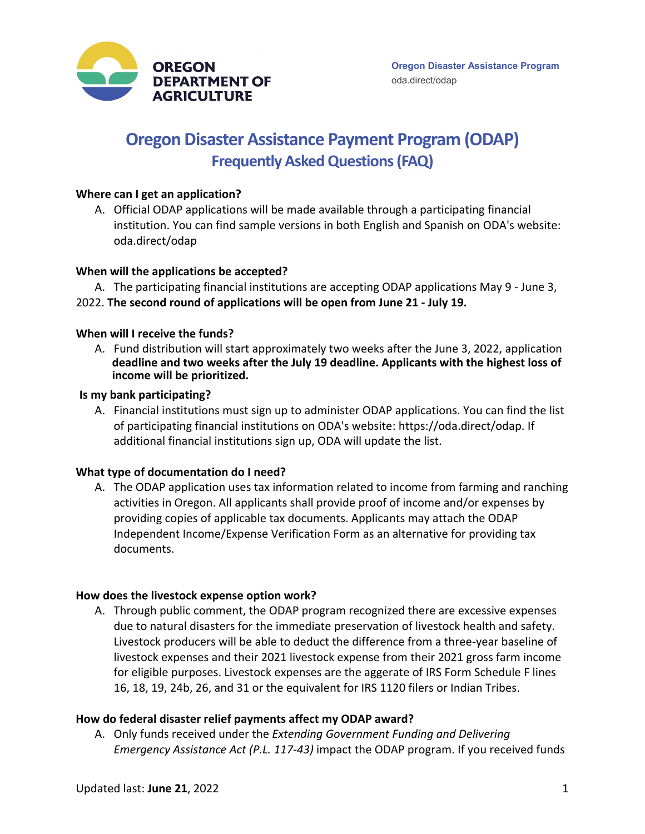

# **Oregon Disaster Assistance Payment Program (ODAP) Frequently Asked Questions (FAQ)**

#### **Where can I get an application?**

A. Official ODAP applications will be made available through a participating financial institution. You can find sample versions in both English and Spanish on ODA's website: oda.direct/odap

# **When will the applications be accepted?**

- A. The participating financial institutions are accepting ODAP applications May 9 June 3,
- 2022. **The second round of applications will be open from June 21 July 19.**

#### **When will I receive the funds?**

A. Fund distribution will start approximately two weeks after the June 3, 2022, application **deadline and two weeks after the July 19 deadline. Applicants with the highest loss of income will be prioritized.**

#### **Is my bank participating?**

A. Financial institutions must sign up to administer ODAP applications. You can find the list of participating financial institutions on ODA's website: https://oda.direct/odap. If additional financial institutions sign up, ODA will update the list.

#### **What type of documentation do I need?**

A. The ODAP application uses tax information related to income from farming and ranching activities in Oregon. All applicants shall provide proof of income and/or expenses by providing copies of applicable tax documents. Applicants may attach the ODAP Independent Income/Expense Verification Form as an alternative for providing tax documents.

#### **How does the livestock expense option work?**

A. Through public comment, the ODAP program recognized there are excessive expenses due to natural disasters for the immediate preservation of livestock health and safety. Livestock producers will be able to deduct the difference from a three-year baseline of livestock expenses and their 2021 livestock expense from their 2021 gross farm income for eligible purposes. Livestock expenses are the aggerate of IRS Form Schedule F lines 16, 18, 19, 24b, 26, and 31 or the equivalent for IRS 1120 filers or Indian Tribes.

#### **How do federal disaster relief payments affect my ODAP award?**

A. Only funds received under the *Extending Government Funding and Delivering Emergency Assistance Act (P.L. 117-43)* impact the ODAP program. If you received funds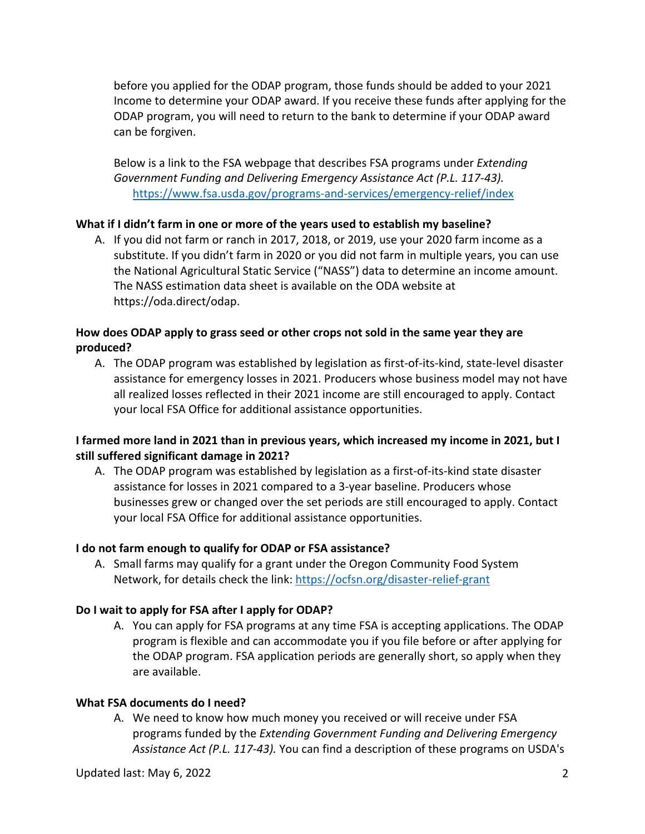before you applied for the ODAP program, those funds should be added to your 2021 Income to determine your ODAP award. If you receive these funds after applying for the ODAP program, you will need to return to the bank to determine if your ODAP award can be forgiven.

Below is a link to the FSA webpage that describes FSA programs under *Extending Government Funding and Delivering Emergency Assistance Act (P.L. 117-43).* <https://www.fsa.usda.gov/programs-and-services/emergency-relief/index>

# **What if I didn't farm in one or more of the years used to establish my baseline?**

A. If you did not farm or ranch in 2017, 2018, or 2019, use your 2020 farm income as a substitute. If you didn't farm in 2020 or you did not farm in multiple years, you can use the National Agricultural Static Service ("NASS") data to determine an income amount. The NASS estimation data sheet is available on the ODA website at https://oda.direct/odap.

# **How does ODAP apply to grass seed or other crops not sold in the same year they are produced?**

A. The ODAP program was established by legislation as first-of-its-kind, state-level disaster assistance for emergency losses in 2021. Producers whose business model may not have all realized losses reflected in their 2021 income are still encouraged to apply. Contact your local FSA Office for additional assistance opportunities.

# **I farmed more land in 2021 than in previous years, which increased my income in 2021, but I still suffered significant damage in 2021?**

A. The ODAP program was established by legislation as a first-of-its-kind state disaster assistance for losses in 2021 compared to a 3-year baseline. Producers whose businesses grew or changed over the set periods are still encouraged to apply. Contact your local FSA Office for additional assistance opportunities.

#### **I do not farm enough to qualify for ODAP or FSA assistance?**

A. Small farms may qualify for a grant under the Oregon Community Food System Network, for details check the link:<https://ocfsn.org/disaster-relief-grant>

#### **Do I wait to apply for FSA after I apply for ODAP?**

A. You can apply for FSA programs at any time FSA is accepting applications. The ODAP program is flexible and can accommodate you if you file before or after applying for the ODAP program. FSA application periods are generally short, so apply when they are available.

#### **What FSA documents do I need?**

A. We need to know how much money you received or will receive under FSA programs funded by the *Extending Government Funding and Delivering Emergency Assistance Act (P.L. 117-43).* You can find a description of these programs on USDA's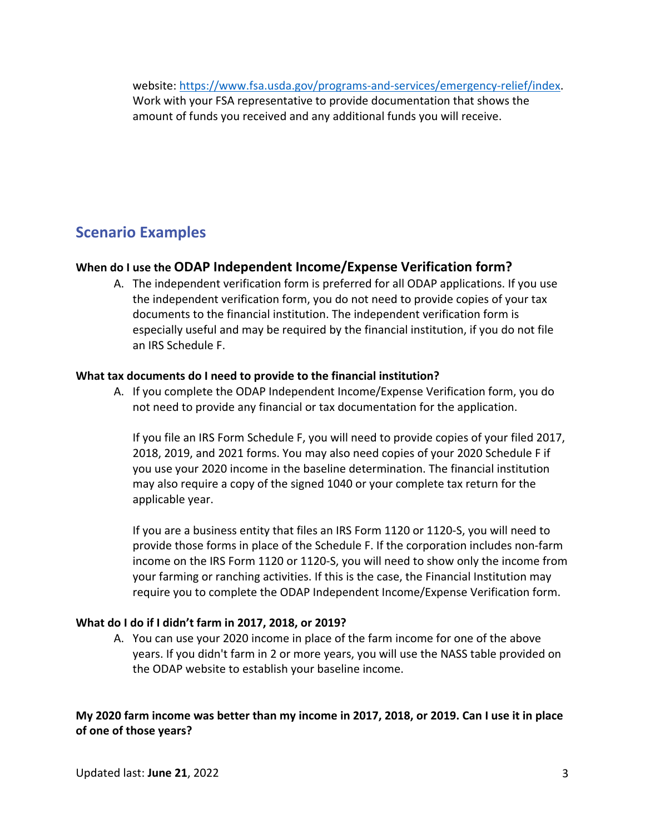website: [https://www.fsa.usda.gov/programs-and-services/emergency-relief/index.](https://www.fsa.usda.gov/programs-and-services/emergency-relief/index) Work with your FSA representative to provide documentation that shows the amount of funds you received and any additional funds you will receive.

# **Scenario Examples**

# **When do I use the ODAP Independent Income/Expense Verification form?**

A. The independent verification form is preferred for all ODAP applications. If you use the independent verification form, you do not need to provide copies of your tax documents to the financial institution. The independent verification form is especially useful and may be required by the financial institution, if you do not file an IRS Schedule F.

# **What tax documents do I need to provide to the financial institution?**

A. If you complete the ODAP Independent Income/Expense Verification form, you do not need to provide any financial or tax documentation for the application.

If you file an IRS Form Schedule F, you will need to provide copies of your filed 2017, 2018, 2019, and 2021 forms. You may also need copies of your 2020 Schedule F if you use your 2020 income in the baseline determination. The financial institution may also require a copy of the signed 1040 or your complete tax return for the applicable year.

If you are a business entity that files an IRS Form 1120 or 1120-S, you will need to provide those forms in place of the Schedule F. If the corporation includes non-farm income on the IRS Form 1120 or 1120-S, you will need to show only the income from your farming or ranching activities. If this is the case, the Financial Institution may require you to complete the ODAP Independent Income/Expense Verification form.

# **What do I do if I didn't farm in 2017, 2018, or 2019?**

A. You can use your 2020 income in place of the farm income for one of the above years. If you didn't farm in 2 or more years, you will use the NASS table provided on the ODAP website to establish your baseline income.

**My 2020 farm income was better than my income in 2017, 2018, or 2019. Can I use it in place of one of those years?**